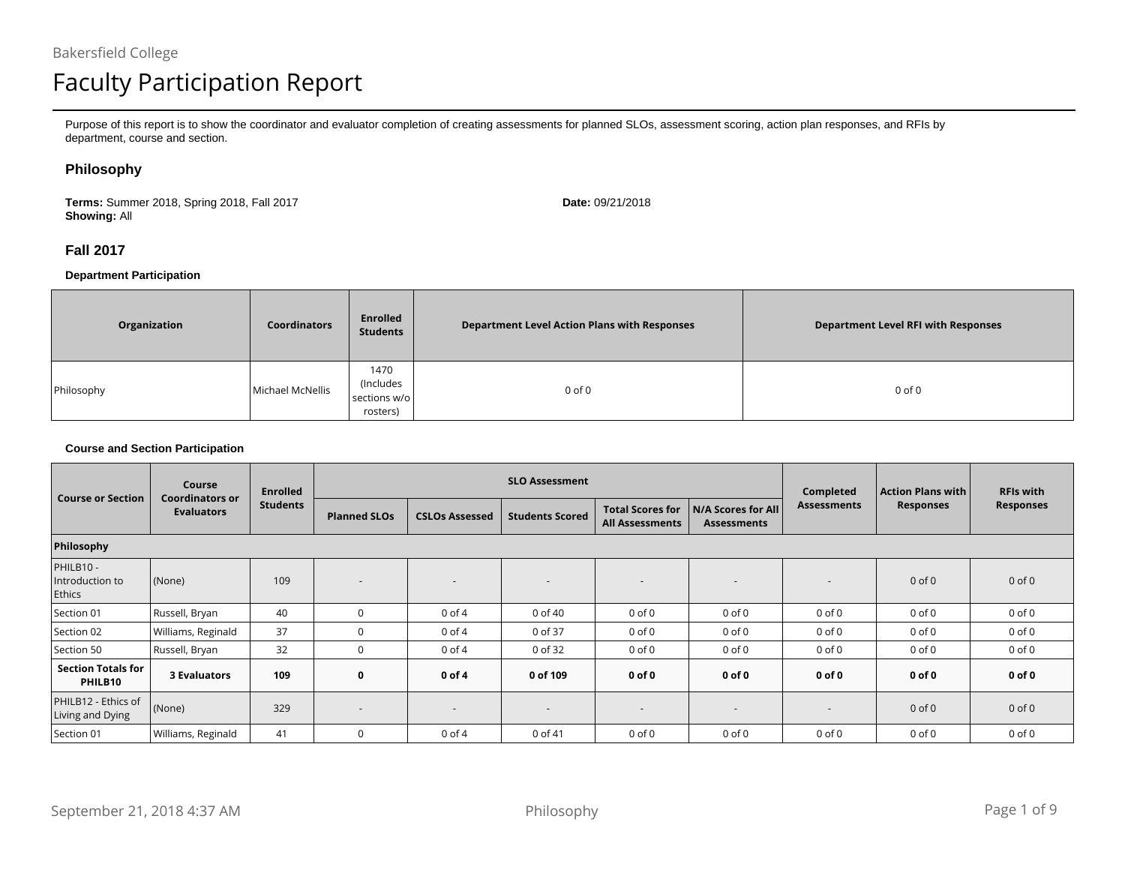# Faculty Participation Report

Purpose of this report is to show the coordinator and evaluator completion of creating assessments for planned SLOs, assessment scoring, action plan responses, and RFIs by department, course and section.

#### **Philosophy**

**Terms:** Summer 2018, Spring 2018, Fall 2017**Showing:** All

**Date:** 09/21/2018

### **Fall 2017**

#### **Department Participation**

| Organization | <b>Coordinators</b> | <b>Enrolled</b><br><b>Students</b>            | <b>Department Level Action Plans with Responses</b> | <b>Department Level RFI with Responses</b> |
|--------------|---------------------|-----------------------------------------------|-----------------------------------------------------|--------------------------------------------|
| Philosophy   | Michael McNellis    | 1470<br>(Includes<br>sections w/o<br>rosters) | $0$ of $0$                                          | $0$ of $0$                                 |

#### **Course and Section Participation**

| <b>Course or Section</b>                | Course<br><b>Coordinators or</b> | <b>Enrolled</b> |                          |                          | <b>SLO Assessment</b>    |                                                   | Completed                                | <b>Action Plans with</b> | <b>RFIs with</b> |                  |
|-----------------------------------------|----------------------------------|-----------------|--------------------------|--------------------------|--------------------------|---------------------------------------------------|------------------------------------------|--------------------------|------------------|------------------|
|                                         | <b>Evaluators</b>                | <b>Students</b> | <b>Planned SLOs</b>      | <b>CSLOs Assessed</b>    | <b>Students Scored</b>   | <b>Total Scores for</b><br><b>All Assessments</b> | N/A Scores for All<br><b>Assessments</b> | <b>Assessments</b>       | <b>Responses</b> | <b>Responses</b> |
| Philosophy                              |                                  |                 |                          |                          |                          |                                                   |                                          |                          |                  |                  |
| PHILB10 -<br>Introduction to<br>Ethics  | (None)                           | 109             |                          | $\overline{\phantom{a}}$ |                          |                                                   |                                          |                          | $0$ of $0$       | $0$ of $0$       |
| Section 01                              | Russell, Bryan                   | 40              | $\Omega$                 | $0$ of $4$               | 0 of 40                  | $0$ of $0$                                        | $0$ of $0$                               | $0$ of $0$               | $0$ of $0$       | $0$ of $0$       |
| Section 02                              | Williams, Reginald               | 37              | $\Omega$                 | $0$ of $4$               | 0 of 37                  | $0$ of $0$                                        | $0$ of $0$                               | $0$ of $0$               | $0$ of $0$       | $0$ of $0$       |
| Section 50                              | Russell, Bryan                   | 32              | $\Omega$                 | $0$ of $4$               | 0 of 32                  | $0$ of $0$                                        | $0$ of $0$                               | $0$ of $0$               | $0$ of $0$       | $0$ of $0$       |
| <b>Section Totals for</b><br>PHILB10    | <b>3 Evaluators</b>              | 109             | 0                        | 0 of 4                   | 0 of 109                 | $0$ of $0$                                        | $0$ of $0$                               | $0$ of $0$               | $0$ of $0$       | $0$ of $0$       |
| PHILB12 - Ethics of<br>Living and Dying | (None)                           | 329             | $\overline{\phantom{a}}$ | $\overline{\phantom{a}}$ | $\overline{\phantom{0}}$ | $\overline{\phantom{a}}$                          | ٠                                        |                          | $0$ of $0$       | $0$ of $0$       |
| Section 01                              | Williams, Reginald               | 41              | $\Omega$                 | $0$ of $4$               | 0 of 41                  | $0$ of $0$                                        | $0$ of $0$                               | $0$ of $0$               | $0$ of $0$       | $0$ of $0$       |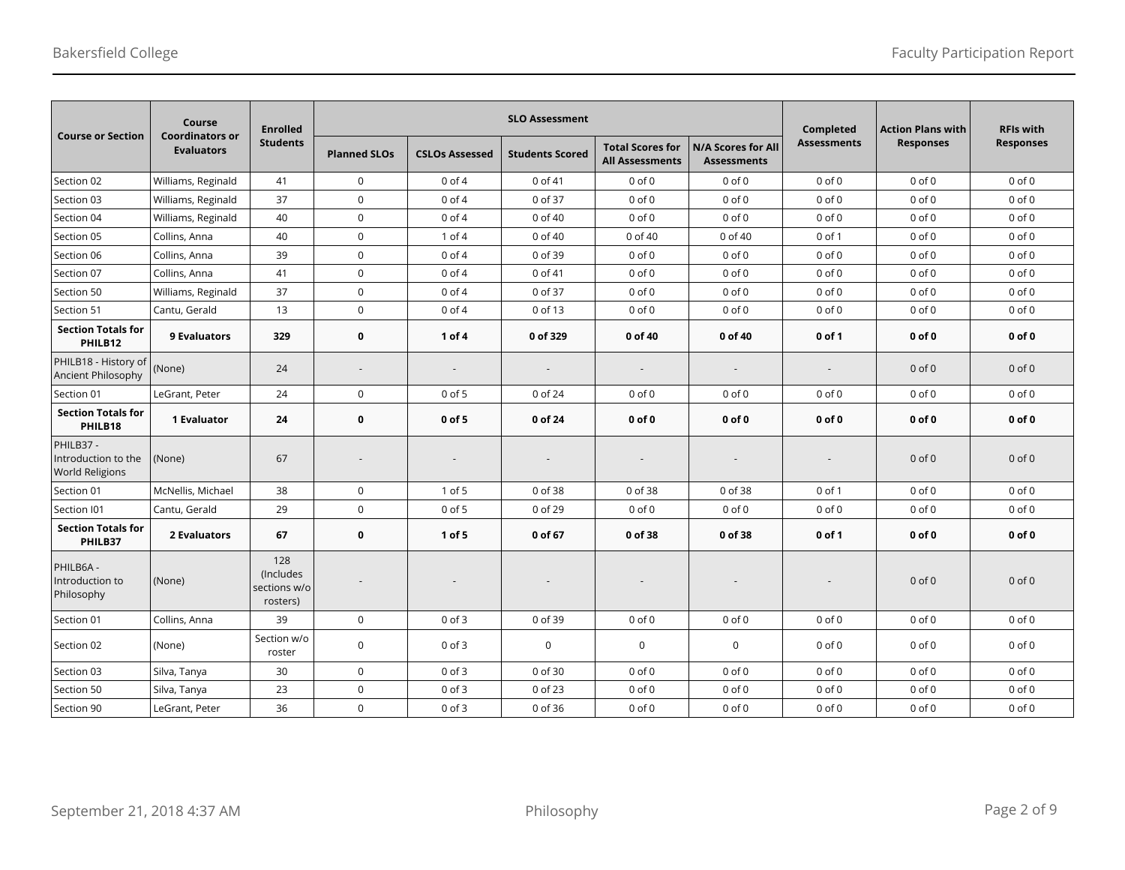|                                                            | Course<br><b>Coordinators or</b> | <b>Enrolled</b>                              |                     |                          | <b>SLO Assessment</b>  |                                                   | Completed                                       | <b>Action Plans with</b> | <b>RFIs with</b> |                  |
|------------------------------------------------------------|----------------------------------|----------------------------------------------|---------------------|--------------------------|------------------------|---------------------------------------------------|-------------------------------------------------|--------------------------|------------------|------------------|
| <b>Course or Section</b>                                   | <b>Evaluators</b>                | <b>Students</b>                              | <b>Planned SLOs</b> | <b>CSLOs Assessed</b>    | <b>Students Scored</b> | <b>Total Scores for</b><br><b>All Assessments</b> | <b>N/A Scores for All</b><br><b>Assessments</b> | <b>Assessments</b>       | <b>Responses</b> | <b>Responses</b> |
| Section 02                                                 | Williams, Reginald               | 41                                           | $\mathsf 0$         | $0$ of $4$               | 0 of 41                | $0$ of $0$                                        | $0$ of $0$                                      | $0$ of $0$               | $0$ of $0$       | $0$ of $0$       |
| Section 03                                                 | Williams, Reginald               | 37                                           | $\mathsf 0$         | $0$ of $4$               | 0 of 37                | $0$ of $0$                                        | $0$ of $0$                                      | $0$ of $0$               | $0$ of $0$       | $0$ of $0$       |
| Section 04                                                 | Williams, Reginald               | 40                                           | $\mathsf{O}\xspace$ | $0$ of $4$               | 0 of 40                | $0$ of $0$                                        | $0$ of $0$                                      | $0$ of $0$               | $0$ of $0$       | $0$ of $0$       |
| Section 05                                                 | Collins, Anna                    | 40                                           | $\mathsf 0$         | $1$ of $4$               | 0 of 40                | 0 of 40                                           | 0 of 40                                         | $0$ of $1$               | $0$ of $0$       | $0$ of $0$       |
| Section 06                                                 | Collins, Anna                    | 39                                           | $\mathsf 0$         | $0$ of $4$               | 0 of 39                | $0$ of $0$                                        | $0$ of $0$                                      | $0$ of $0$               | $0$ of $0$       | $0$ of $0$       |
| Section 07                                                 | Collins, Anna                    | 41                                           | $\mathsf 0$         | $0$ of $4$               | 0 of 41                | $0$ of $0$                                        | $0$ of $0$                                      | $0$ of $0$               | $0$ of $0$       | $0$ of $0$       |
| Section 50                                                 | Williams, Reginald               | 37                                           | $\mathbf 0$         | $0$ of $4$               | 0 of 37                | $0$ of $0$                                        | $0$ of $0$                                      | $0$ of $0$               | $0$ of $0$       | $0$ of $0$       |
| Section 51                                                 | Cantu, Gerald                    | 13                                           | $\mathbf 0$         | $0$ of $4$               | 0 of 13                | $0$ of $0$                                        | $0$ of $0$                                      | $0$ of $0$               | $0$ of $0$       | $0$ of $0$       |
| <b>Section Totals for</b><br>PHILB12                       | 9 Evaluators                     | 329                                          | $\bf{0}$            | 1 of 4                   | 0 of 329               | 0 of 40                                           | 0 of 40                                         | $0$ of 1                 | $0$ of $0$       | $0$ of $0$       |
| PHILB18 - History of<br>Ancient Philosophy                 | (None)                           | 24                                           |                     | $\overline{\phantom{a}}$ |                        |                                                   |                                                 | $\overline{\phantom{a}}$ | $0$ of $0$       | $0$ of $0$       |
| Section 01                                                 | LeGrant, Peter                   | 24                                           | $\mathsf 0$         | $0$ of $5$               | 0 of 24                | $0$ of $0$                                        | $0$ of $0$                                      | $0$ of $0$               | $0$ of $0$       | $0$ of $0$       |
| <b>Section Totals for</b><br>PHILB18                       | 1 Evaluator                      | 24                                           | 0                   | 0 of 5                   | 0 of 24                | $0$ of $0$                                        | $0$ of $0$                                      | $0$ of $0$               | $0$ of $0$       | $0$ of $0$       |
| PHILB37 -<br>Introduction to the<br><b>World Religions</b> | (None)                           | 67                                           |                     |                          |                        |                                                   |                                                 |                          | $0$ of $0$       | $0$ of $0$       |
| Section 01                                                 | McNellis, Michael                | 38                                           | $\mathsf 0$         | 1 of 5                   | 0 of 38                | 0 of 38                                           | 0 of 38                                         | $0$ of $1$               | $0$ of $0$       | $0$ of $0$       |
| Section I01                                                | Cantu, Gerald                    | 29                                           | $\mathsf 0$         | $0$ of $5$               | 0 of 29                | $0$ of $0$                                        | $0$ of $0$                                      | $0$ of $0$               | $0$ of $0$       | $0$ of $0$       |
| <b>Section Totals for</b><br>PHILB37                       | 2 Evaluators                     | 67                                           | $\bf{0}$            | 1 of 5                   | 0 of 67                | 0 of 38                                           | 0 of 38                                         | 0 of 1                   | $0$ of $0$       | $0$ of $0$       |
| PHILB6A -<br>Introduction to<br>Philosophy                 | (None)                           | 128<br>(Includes<br>sections w/o<br>rosters) |                     |                          |                        |                                                   |                                                 |                          | $0$ of $0$       | $0$ of $0$       |
| Section 01                                                 | Collins, Anna                    | 39                                           | $\mathsf 0$         | $0$ of $3$               | 0 of 39                | $0$ of $0$                                        | $0$ of $0$                                      | $0$ of $0$               | $0$ of $0$       | $0$ of $0$       |
| Section 02                                                 | (None)                           | Section w/o<br>roster                        | $\mathsf 0$         | $0$ of $3$               | $\mathbf 0$            | $\mathbf 0$                                       | $\mathbf 0$                                     | $0$ of $0$               | $0$ of $0$       | $0$ of $0$       |
| Section 03                                                 | Silva, Tanya                     | 30                                           | $\mathsf{O}\xspace$ | $0$ of $3$               | 0 of 30                | $0$ of $0$                                        | $0$ of $0$                                      | $0$ of $0$               | $0$ of $0$       | $0$ of $0$       |
| Section 50                                                 | Silva, Tanya                     | 23                                           | $\mathsf{O}\xspace$ | $0$ of $3$               | 0 of 23                | $0$ of $0$                                        | $0$ of $0$                                      | $0$ of $0$               | $0$ of $0$       | $0$ of $0$       |
| Section 90                                                 | LeGrant, Peter                   | 36                                           | $\mathsf 0$         | $0$ of $3$               | 0 of 36                | $0$ of $0$                                        | $0$ of $0$                                      | $0$ of $0$               | $0$ of $0$       | $0$ of $0$       |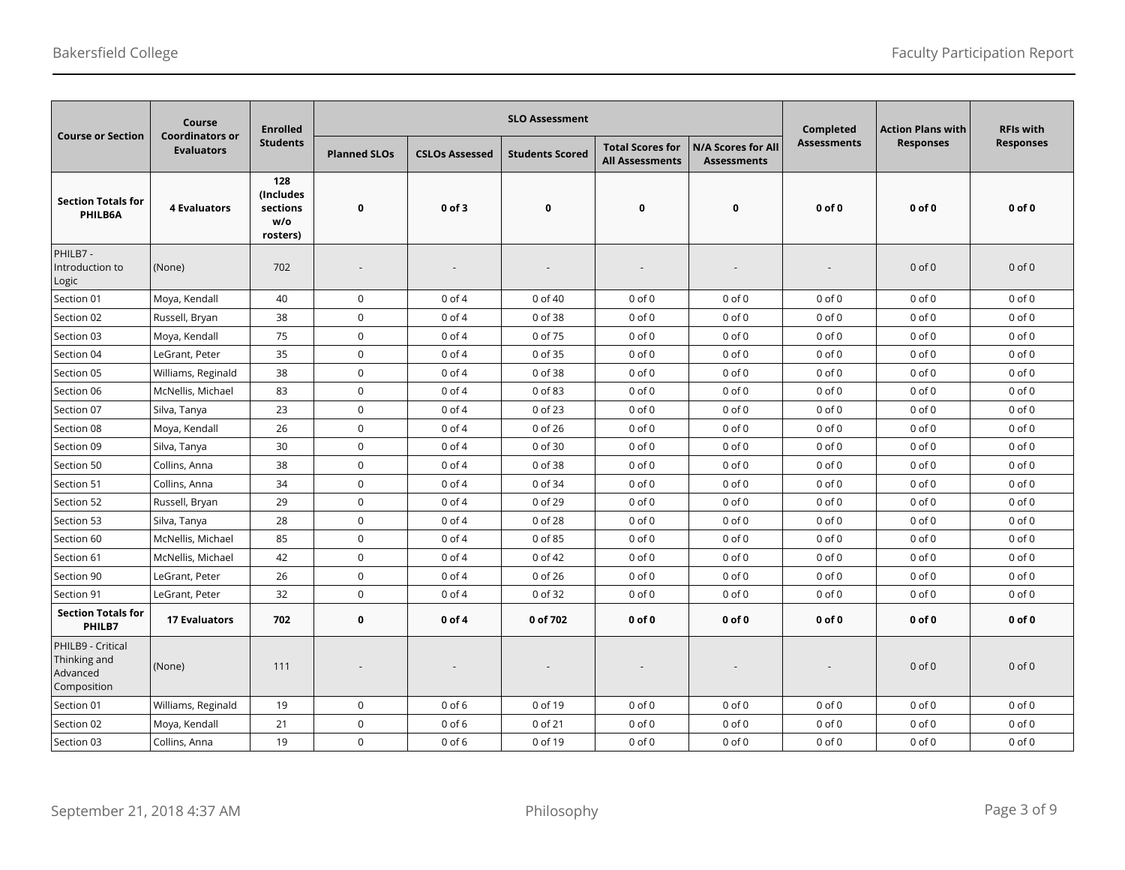| <b>Course or Section</b>                                     | Course<br><b>Coordinators or</b> | <b>Enrolled</b>                                  |                     |                       | <b>SLO Assessment</b>  |                                                   |                                          | Completed          | <b>Action Plans with</b> | <b>RFIs with</b> |
|--------------------------------------------------------------|----------------------------------|--------------------------------------------------|---------------------|-----------------------|------------------------|---------------------------------------------------|------------------------------------------|--------------------|--------------------------|------------------|
|                                                              | <b>Evaluators</b>                | <b>Students</b>                                  | <b>Planned SLOs</b> | <b>CSLOs Assessed</b> | <b>Students Scored</b> | <b>Total Scores for</b><br><b>All Assessments</b> | N/A Scores for All<br><b>Assessments</b> | <b>Assessments</b> | <b>Responses</b>         | <b>Responses</b> |
| <b>Section Totals for</b><br>PHILB6A                         | <b>4 Evaluators</b>              | 128<br>(Includes)<br>sections<br>w/o<br>rosters) | $\bf{0}$            | 0 of 3                | $\mathbf 0$            | 0                                                 | $\mathbf 0$                              | $0$ of $0$         | $0$ of $0$               | $0$ of $0$       |
| PHILB7 -<br>Introduction to<br>Logic                         | (None)                           | 702                                              |                     |                       |                        |                                                   |                                          |                    | $0$ of $0$               | $0$ of $0$       |
| Section 01                                                   | Moya, Kendall                    | 40                                               | $\mathsf{O}\xspace$ | $0$ of $4$            | 0 of 40                | $0$ of $0$                                        | $0$ of $0$                               | $0$ of $0$         | $0$ of $0$               | $0$ of $0$       |
| Section 02                                                   | Russell, Bryan                   | 38                                               | $\mathbf 0$         | $0$ of $4$            | 0 of 38                | $0$ of $0$                                        | $0$ of $0$                               | $0$ of $0$         | $0$ of $0$               | $0$ of $0$       |
| Section 03                                                   | Moya, Kendall                    | 75                                               | $\mathsf{O}\xspace$ | $0$ of $4$            | 0 of 75                | $0$ of $0$                                        | $0$ of $0$                               | $0$ of $0$         | $0$ of $0$               | $0$ of $0$       |
| Section 04                                                   | LeGrant, Peter                   | 35                                               | $\mathbf 0$         | $0$ of $4$            | 0 of 35                | $0$ of $0$                                        | $0$ of $0$                               | $0$ of $0$         | $0$ of $0$               | $0$ of $0$       |
| Section 05                                                   | Williams, Reginald               | 38                                               | $\mathsf{O}\xspace$ | $0$ of $4$            | 0 of 38                | $0$ of $0$                                        | $0$ of $0$                               | $0$ of $0$         | $0$ of $0$               | $0$ of $0$       |
| Section 06                                                   | McNellis, Michael                | 83                                               | $\mathbf 0$         | $0$ of $4$            | 0 of 83                | $0$ of $0$                                        | $0$ of $0$                               | $0$ of $0$         | $0$ of $0$               | $0$ of $0$       |
| Section 07                                                   | Silva, Tanya                     | 23                                               | $\mathsf{O}\xspace$ | $0$ of $4$            | 0 of 23                | $0$ of $0$                                        | $0$ of $0$                               | $0$ of $0$         | $0$ of $0$               | $0$ of $0$       |
| Section 08                                                   | Moya, Kendall                    | 26                                               | $\mathsf{O}\xspace$ | $0$ of $4$            | 0 of 26                | $0$ of $0$                                        | $0$ of $0$                               | $0$ of $0$         | $0$ of $0$               | $0$ of $0$       |
| Section 09                                                   | Silva, Tanya                     | 30                                               | $\mathsf{O}\xspace$ | $0$ of $4$            | 0 of 30                | $0$ of $0$                                        | $0$ of $0$                               | $0$ of $0$         | $0$ of $0$               | $0$ of $0$       |
| Section 50                                                   | Collins, Anna                    | 38                                               | $\mathbf 0$         | $0$ of $4$            | 0 of 38                | $0$ of $0$                                        | $0$ of $0$                               | $0$ of $0$         | $0$ of $0$               | $0$ of $0$       |
| Section 51                                                   | Collins, Anna                    | 34                                               | $\mathbf 0$         | $0$ of $4$            | 0 of 34                | $0$ of $0$                                        | $0$ of $0$                               | $0$ of $0$         | $0$ of $0$               | $0$ of $0$       |
| Section 52                                                   | Russell, Bryan                   | 29                                               | $\mathsf{O}\xspace$ | $0$ of $4$            | 0 of 29                | $0$ of $0$                                        | $0$ of $0$                               | $0$ of $0$         | $0$ of $0$               | $0$ of $0$       |
| Section 53                                                   | Silva, Tanya                     | 28                                               | $\mathsf{O}\xspace$ | $0$ of $4$            | 0 of 28                | $0$ of $0$                                        | $0$ of $0$                               | $0$ of $0$         | $0$ of $0$               | $0$ of $0$       |
| Section 60                                                   | McNellis, Michael                | 85                                               | $\mathsf{O}\xspace$ | $0$ of $4$            | 0 of 85                | $0$ of $0$                                        | $0$ of $0$                               | $0$ of $0$         | $0$ of $0$               | $0$ of $0$       |
| Section 61                                                   | McNellis, Michael                | 42                                               | $\mathsf{O}\xspace$ | $0$ of $4$            | 0 of 42                | $0$ of $0$                                        | $0$ of $0$                               | $0$ of $0$         | $0$ of $0$               | $0$ of $0$       |
| Section 90                                                   | LeGrant, Peter                   | 26                                               | $\mathsf{O}\xspace$ | $0$ of $4$            | 0 of 26                | $0$ of $0$                                        | $0$ of $0$                               | $0$ of $0$         | $0$ of $0$               | $0$ of $0$       |
| Section 91                                                   | LeGrant, Peter                   | 32                                               | $\mathbf 0$         | $0$ of $4$            | 0 of 32                | $0$ of $0$                                        | $0$ of $0$                               | $0$ of $0$         | $0$ of $0$               | $0$ of $0$       |
| <b>Section Totals for</b><br>PHILB7                          | <b>17 Evaluators</b>             | 702                                              | $\mathbf 0$         | $0$ of $4$            | 0 of 702               | $0$ of $0$                                        | $0$ of $0$                               | $0$ of $0$         | $0$ of $0$               | $0$ of $0$       |
| PHILB9 - Critical<br>Thinking and<br>Advanced<br>Composition | (None)                           | 111                                              |                     |                       |                        |                                                   |                                          |                    | $0$ of $0$               | $0$ of $0$       |
| Section 01                                                   | Williams, Reginald               | 19                                               | $\mathsf{O}\xspace$ | $0$ of $6$            | 0 of 19                | $0$ of $0$                                        | $0$ of $0$                               | $0$ of $0$         | $0$ of $0$               | $0$ of $0$       |
| Section 02                                                   | Moya, Kendall                    | 21                                               | $\mathsf{O}\xspace$ | $0$ of $6$            | 0 of 21                | $0$ of $0$                                        | $0$ of $0$                               | $0$ of $0$         | $0$ of $0$               | $0$ of $0$       |
| Section 03                                                   | Collins, Anna                    | 19                                               | $\mathbf 0$         | $0$ of $6$            | 0 of 19                | $0$ of $0$                                        | $0$ of $0$                               | $0$ of $0$         | $0$ of $0$               | $0$ of $0$       |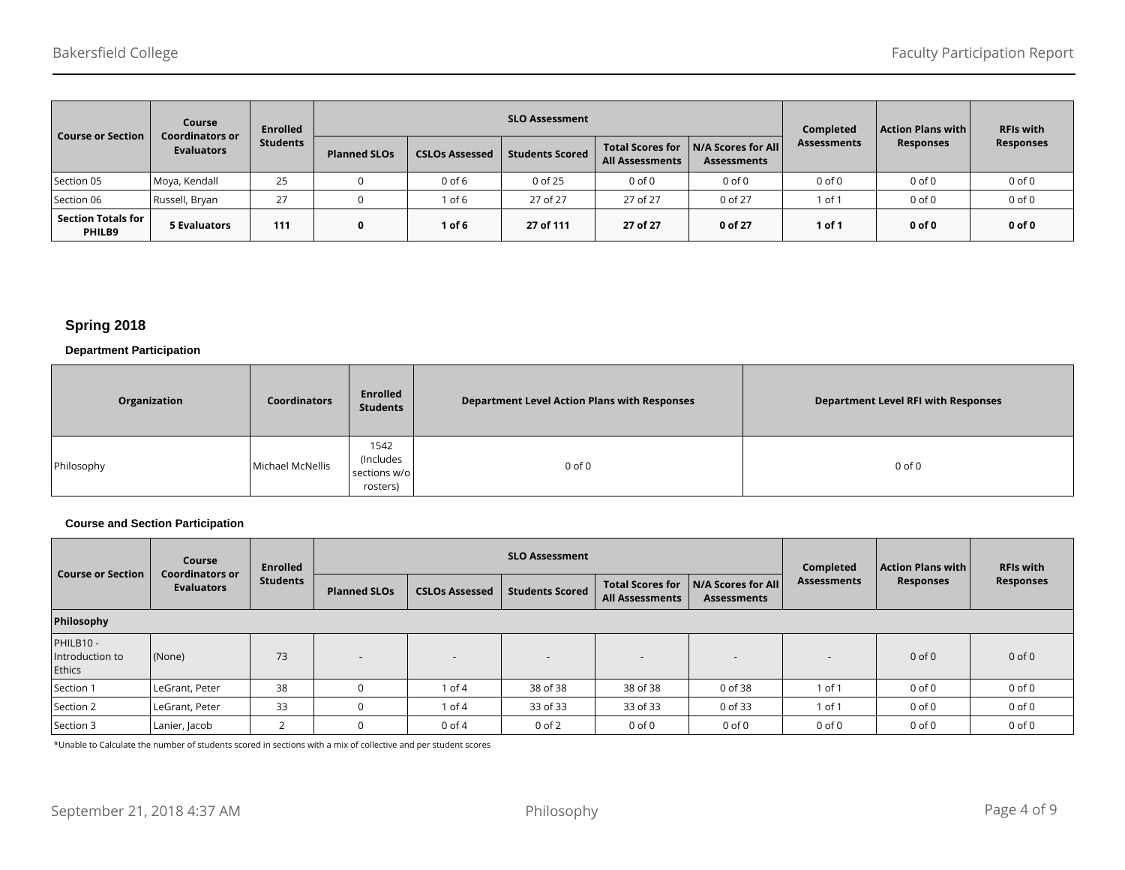| <b>Course or Section</b>            | Course<br><b>Coordinators or</b><br><b>Evaluators</b> | <b>Enrolled</b><br>Students |                     |                       | <b>SLO Assessment</b>  |                                                   | Completed                                | <b>Action Plans with</b> | <b>RFIs with</b> |                  |
|-------------------------------------|-------------------------------------------------------|-----------------------------|---------------------|-----------------------|------------------------|---------------------------------------------------|------------------------------------------|--------------------------|------------------|------------------|
|                                     |                                                       |                             | <b>Planned SLOs</b> | <b>CSLOs Assessed</b> | <b>Students Scored</b> | <b>Total Scores for</b><br><b>All Assessments</b> | N/A Scores for All<br><b>Assessments</b> | <b>Assessments</b>       | <b>Responses</b> | <b>Responses</b> |
| Section 05                          | Moya, Kendall                                         | 25                          |                     | $0$ of $6$            | 0 of 25                | $0$ of $0$                                        | $0$ of $0$                               | $0$ of $0$               | $0$ of $0$       | $0$ of $0$       |
| Section 06                          | Russell, Bryan                                        | 27                          |                     | of 6                  | 27 of 27               | 27 of 27                                          | 0 of 27                                  | 1 of 1                   | $0$ of $0$       | $0$ of $0$       |
| <b>Section Totals for</b><br>PHILB9 | <b>5 Evaluators</b>                                   | 111                         | 0                   | $1$ of 6              | 27 of 111              | 27 of 27                                          | 0 of 27                                  | 1 of 1                   | $0$ of $0$       | $0$ of $0$       |

# **Spring 2018**

#### **Department Participation**

| Organization | <b>Coordinators</b> | Enrolled<br><b>Students</b>                   | <b>Department Level Action Plans with Responses</b> | <b>Department Level RFI with Responses</b> |
|--------------|---------------------|-----------------------------------------------|-----------------------------------------------------|--------------------------------------------|
| Philosophy   | Michael McNellis    | 1542<br>(Includes<br>sections w/o<br>rosters) | $0$ of $0$                                          | $0$ of $0$                                 |

#### **Course and Section Participation**

| <b>Course or Section</b>               | Course<br><b>Coordinators or</b><br><b>Evaluators</b> | <b>Enrolled</b> |                     |                       | <b>SLO Assessment</b>  |                                                   | Completed                                | <b>Action Plans with  </b> | <b>RFIs with</b> |                  |
|----------------------------------------|-------------------------------------------------------|-----------------|---------------------|-----------------------|------------------------|---------------------------------------------------|------------------------------------------|----------------------------|------------------|------------------|
|                                        |                                                       | <b>Students</b> | <b>Planned SLOs</b> | <b>CSLOs Assessed</b> | <b>Students Scored</b> | <b>Total Scores for</b><br><b>All Assessments</b> | N/A Scores for All<br><b>Assessments</b> | <b>Assessments</b>         | <b>Responses</b> | <b>Responses</b> |
| Philosophy                             |                                                       |                 |                     |                       |                        |                                                   |                                          |                            |                  |                  |
| PHILB10 -<br>Introduction to<br>Ethics | (None)                                                | 73              | $\sim$              | $\overline{a}$        | $\sim$                 | $\overline{a}$                                    | $\overline{\phantom{a}}$                 |                            | $0$ of $0$       | $0$ of $0$       |
| Section 1                              | LeGrant, Peter                                        | 38              |                     | $1$ of $4$            | 38 of 38               | 38 of 38                                          | 0 of 38                                  | $1$ of $\cdot$             | $0$ of $0$       | $0$ of $0$       |
| Section 2                              | LeGrant, Peter                                        | 33              |                     | $1$ of $4$            | 33 of 33               | 33 of 33                                          | 0 of 33                                  | 1 of 1                     | $0$ of $0$       | $0$ of $0$       |
| Section 3                              | Lanier, Jacob                                         |                 |                     | $0$ of $4$            | $0$ of $2$             | $0$ of $0$                                        | $0$ of $0$                               | $0$ of $0$                 | $0$ of $0$       | $0$ of $0$       |

\*Unable to Calculate the number of students scored in sections with a mix of collective and per student scores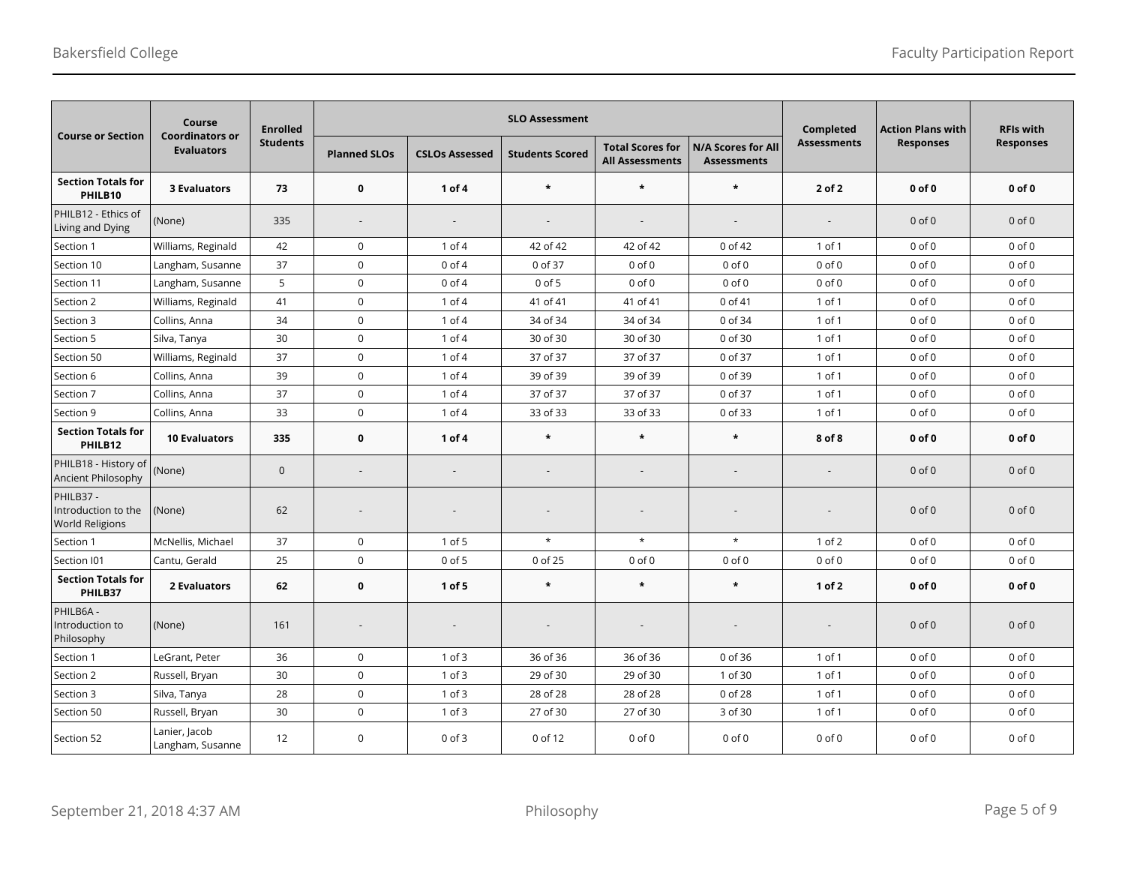| <b>Course or Section</b>                                  | Course<br><b>Coordinators or</b>  | <b>Enrolled</b> |                          |                          | <b>SLO Assessment</b>    |                                                   | Completed                                       | <b>Action Plans with</b> | <b>RFIs with</b><br><b>Responses</b> |            |
|-----------------------------------------------------------|-----------------------------------|-----------------|--------------------------|--------------------------|--------------------------|---------------------------------------------------|-------------------------------------------------|--------------------------|--------------------------------------|------------|
|                                                           | <b>Evaluators</b>                 | <b>Students</b> | <b>Planned SLOs</b>      | <b>CSLOs Assessed</b>    | <b>Students Scored</b>   | <b>Total Scores for</b><br><b>All Assessments</b> | <b>N/A Scores for All</b><br><b>Assessments</b> | <b>Assessments</b>       | <b>Responses</b>                     |            |
| <b>Section Totals for</b><br>PHILB10                      | <b>3 Evaluators</b>               | 73              | $\bf{0}$                 | 1 of 4                   | $\star$                  | $\star$                                           | $\star$                                         | 2 of 2                   | $0$ of $0$                           | $0$ of $0$ |
| PHILB12 - Ethics of<br>Living and Dying                   | (None)                            | 335             | $\overline{\phantom{a}}$ | $\overline{\phantom{a}}$ | $\overline{\phantom{a}}$ | $\sim$                                            |                                                 | $\sim$                   | $0$ of $0$                           | $0$ of $0$ |
| Section 1                                                 | Williams, Reginald                | 42              | $\mathbf 0$              | $1$ of $4$               | 42 of 42                 | 42 of 42                                          | 0 of 42                                         | $1$ of $1$               | $0$ of $0$                           | $0$ of $0$ |
| Section 10                                                | Langham, Susanne                  | 37              | $\mathbf 0$              | $0$ of $4$               | 0 of 37                  | $0$ of $0$                                        | $0$ of $0$                                      | $0$ of $0$               | $0$ of $0$                           | $0$ of $0$ |
| Section 11                                                | Langham, Susanne                  | 5               | $\mathbf 0$              | $0$ of $4$               | $0$ of $5$               | $0$ of $0$                                        | $0$ of $0$                                      | $0$ of $0$               | $0$ of $0$                           | $0$ of $0$ |
| Section 2                                                 | Williams, Reginald                | 41              | $\mathsf 0$              | $1$ of $4$               | 41 of 41                 | 41 of 41                                          | 0 of 41                                         | 1 of 1                   | $0$ of $0$                           | $0$ of $0$ |
| Section 3                                                 | Collins, Anna                     | 34              | $\mathsf 0$              | $1$ of $4$               | 34 of 34                 | 34 of 34                                          | 0 of 34                                         | 1 of 1                   | $0$ of $0$                           | $0$ of $0$ |
| Section 5                                                 | Silva, Tanya                      | 30              | $\mathsf 0$              | $1$ of $4$               | 30 of 30                 | 30 of 30                                          | 0 of 30                                         | 1 of 1                   | $0$ of $0$                           | $0$ of $0$ |
| Section 50                                                | Williams, Reginald                | 37              | $\mathsf 0$              | $1$ of $4$               | 37 of 37                 | 37 of 37                                          | 0 of 37                                         | 1 of 1                   | $0$ of $0$                           | $0$ of $0$ |
| Section 6                                                 | Collins, Anna                     | 39              | $\mathsf 0$              | $1$ of $4$               | 39 of 39                 | 39 of 39                                          | 0 of 39                                         | 1 of 1                   | $0$ of $0$                           | $0$ of $0$ |
| Section 7                                                 | Collins, Anna                     | 37              | $\mathsf 0$              | 1 of 4                   | 37 of 37                 | 37 of 37                                          | 0 of 37                                         | 1 of 1                   | $0$ of $0$                           | $0$ of $0$ |
| Section 9                                                 | Collins, Anna                     | 33              | $\mathsf 0$              | $1$ of $4$               | 33 of 33                 | 33 of 33                                          | 0 of 33                                         | 1 of 1                   | $0$ of $0$                           | $0$ of $0$ |
| <b>Section Totals for</b><br>PHILB12                      | <b>10 Evaluators</b>              | 335             | $\bf{0}$                 | 1 of 4                   | $\star$                  | $\star$                                           | $\star$                                         | 8 of 8                   | $0$ of $0$                           | $0$ of $0$ |
| PHILB18 - History of<br>Ancient Philosophy                | (None)                            | $\mathbf{0}$    |                          | $\overline{a}$           | $\overline{a}$           | $\sim$                                            |                                                 | $\overline{a}$           | $0$ of $0$                           | $0$ of $0$ |
| PHILB37-<br>Introduction to the<br><b>World Religions</b> | (None)                            | 62              |                          |                          |                          |                                                   |                                                 |                          | $0$ of $0$                           | $0$ of $0$ |
| Section 1                                                 | McNellis, Michael                 | 37              | $\mathsf 0$              | 1 of 5                   | $\star$                  | $^\star$                                          | $\star$                                         | $1$ of $2$               | $0$ of $0$                           | $0$ of $0$ |
| Section I01                                               | Cantu, Gerald                     | 25              | $\mathbf 0$              | $0$ of 5                 | 0 of 25                  | $0$ of $0$                                        | $0$ of $0$                                      | $0$ of $0$               | $0$ of $0$                           | $0$ of $0$ |
| <b>Section Totals for</b><br>PHILB37                      | <b>2 Evaluators</b>               | 62              | $\mathbf 0$              | $1$ of 5                 | $\star$                  | $\star$                                           | $\star$                                         | 1 of 2                   | $0$ of $0$                           | $0$ of $0$ |
| PHILB6A -<br>Introduction to<br>Philosophy                | (None)                            | 161             |                          | $\overline{a}$           |                          |                                                   |                                                 |                          | $0$ of $0$                           | $0$ of $0$ |
| Section 1                                                 | LeGrant, Peter                    | 36              | $\mathbf 0$              | $1$ of $3$               | 36 of 36                 | 36 of 36                                          | 0 of 36                                         | 1 of 1                   | $0$ of $0$                           | $0$ of $0$ |
| Section 2                                                 | Russell, Bryan                    | 30              | $\mathsf 0$              | $1$ of $3$               | 29 of 30                 | 29 of 30                                          | 1 of 30                                         | 1 of 1                   | $0$ of $0$                           | $0$ of $0$ |
| Section 3                                                 | Silva, Tanya                      | 28              | $\mathsf 0$              | $1$ of $3$               | 28 of 28                 | 28 of 28                                          | 0 of 28                                         | 1 of 1                   | $0$ of $0$                           | $0$ of $0$ |
| Section 50                                                | Russell, Bryan                    | 30              | $\mathsf 0$              | $1$ of $3$               | 27 of 30                 | 27 of 30                                          | 3 of 30                                         | 1 of 1                   | $0$ of $0$                           | $0$ of $0$ |
| Section 52                                                | Lanier, Jacob<br>Langham, Susanne | 12              | $\mathsf 0$              | $0$ of $3$               | 0 of 12                  | $0$ of $0$                                        | $0$ of $0$                                      | $0$ of $0$               | $0$ of $0$                           | $0$ of $0$ |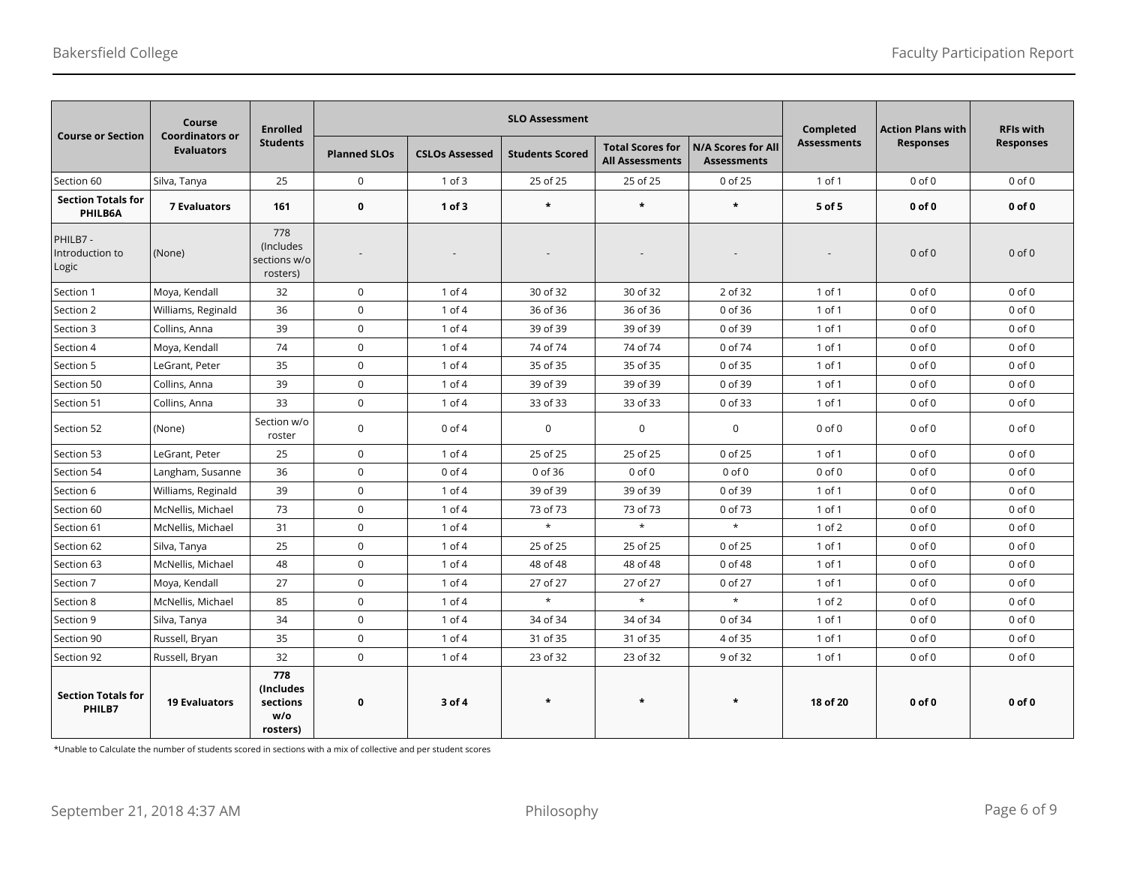|                                      | Course                                      | <b>Enrolled</b>                                 |                     |                       | <b>SLO Assessment</b>  |                                                   | Completed                                       | <b>Action Plans with</b> | <b>RFIs with</b> |                  |
|--------------------------------------|---------------------------------------------|-------------------------------------------------|---------------------|-----------------------|------------------------|---------------------------------------------------|-------------------------------------------------|--------------------------|------------------|------------------|
| <b>Course or Section</b>             | <b>Coordinators or</b><br><b>Evaluators</b> | <b>Students</b>                                 | <b>Planned SLOs</b> | <b>CSLOs Assessed</b> | <b>Students Scored</b> | <b>Total Scores for</b><br><b>All Assessments</b> | <b>N/A Scores for All</b><br><b>Assessments</b> | <b>Assessments</b>       | <b>Responses</b> | <b>Responses</b> |
| Section 60                           | Silva, Tanya                                | 25                                              | $\mathbf 0$         | $1$ of $3$            | 25 of 25               | 25 of 25                                          | 0 of 25                                         | 1 of 1                   | $0$ of $0$       | $0$ of $0$       |
| <b>Section Totals for</b><br>PHILB6A | <b>7 Evaluators</b>                         | 161                                             | $\mathbf 0$         | $1$ of $3$            | $\star$                | $\star$                                           | $\star$                                         | 5 of 5                   | $0$ of $0$       | $0$ of $0$       |
| PHILB7-<br>Introduction to<br>Logic  | (None)                                      | 778<br>(Includes<br>sections w/o<br>rosters)    |                     |                       |                        |                                                   |                                                 |                          | $0$ of $0$       | $0$ of $0$       |
| Section 1                            | Moya, Kendall                               | 32                                              | $\mathbf 0$         | $1$ of $4$            | 30 of 32               | 30 of 32                                          | 2 of 32                                         | 1 of 1                   | $0$ of $0$       | $0$ of $0$       |
| Section 2                            | Williams, Reginald                          | 36                                              | $\mathbf 0$         | $1$ of $4$            | 36 of 36               | 36 of 36                                          | 0 of 36                                         | $1$ of $1$               | $0$ of $0$       | $0$ of $0$       |
| Section 3                            | Collins, Anna                               | 39                                              | $\mathbf 0$         | $1$ of $4$            | 39 of 39               | 39 of 39                                          | 0 of 39                                         | 1 of 1                   | $0$ of $0$       | $0$ of $0$       |
| Section 4                            | Moya, Kendall                               | 74                                              | $\mathbf 0$         | $1$ of $4$            | 74 of 74               | 74 of 74                                          | 0 of 74                                         | 1 of 1                   | $0$ of $0$       | $0$ of $0$       |
| Section 5                            | LeGrant, Peter                              | 35                                              | $\mathbf 0$         | $1$ of $4$            | 35 of 35               | 35 of 35                                          | 0 of 35                                         | 1 of 1                   | $0$ of $0$       | $0$ of $0$       |
| Section 50                           | Collins, Anna                               | 39                                              | $\mathbf 0$         | $1$ of $4$            | 39 of 39               | 39 of 39                                          | 0 of 39                                         | 1 of 1                   | $0$ of $0$       | $0$ of $0$       |
| Section 51                           | Collins, Anna                               | 33                                              | $\mathbf 0$         | $1$ of $4$            | 33 of 33               | 33 of 33                                          | 0 of 33                                         | $1$ of $1$               | $0$ of $0$       | $0$ of $0$       |
| Section 52                           | (None)                                      | Section w/o<br>roster                           | $\mathbf 0$         | $0$ of $4$            | $\mathbf 0$            | $\mathbf 0$                                       | $\mathbf 0$                                     | $0$ of $0$               | $0$ of $0$       | $0$ of $0$       |
| Section 53                           | LeGrant. Peter                              | 25                                              | $\mathbf 0$         | $1$ of $4$            | 25 of 25               | 25 of 25                                          | 0 of 25                                         | $1$ of $1$               | $0$ of $0$       | $0$ of $0$       |
| Section 54                           | Langham, Susanne                            | 36                                              | $\mathbf 0$         | $0$ of $4$            | 0 of 36                | $0$ of $0$                                        | $0$ of $0$                                      | $0$ of $0$               | $0$ of $0$       | $0$ of $0$       |
| Section 6                            | Williams, Reginald                          | 39                                              | $\mathbf 0$         | 1 of 4                | 39 of 39               | 39 of 39                                          | 0 of 39                                         | 1 of 1                   | $0$ of $0$       | $0$ of $0$       |
| Section 60                           | McNellis, Michael                           | 73                                              | $\mathbf 0$         | $1$ of $4$            | 73 of 73               | 73 of 73                                          | 0 of 73                                         | $1$ of $1$               | $0$ of $0$       | $0$ of $0$       |
| Section 61                           | McNellis, Michael                           | 31                                              | $\mathbf 0$         | 1 of 4                | $\star$                | $\star$                                           | $\star$                                         | $1$ of $2$               | $0$ of $0$       | $0$ of $0$       |
| Section 62                           | Silva, Tanya                                | 25                                              | $\mathbf 0$         | $1$ of $4$            | 25 of 25               | 25 of 25                                          | 0 of 25                                         | 1 of 1                   | $0$ of $0$       | $0$ of $0$       |
| Section 63                           | McNellis, Michael                           | 48                                              | $\mathbf 0$         | $1$ of $4$            | 48 of 48               | 48 of 48                                          | 0 of 48                                         | $1$ of $1$               | $0$ of $0$       | $0$ of $0$       |
| Section 7                            | Moya, Kendall                               | 27                                              | $\mathbf 0$         | $1$ of $4$            | 27 of 27               | 27 of 27                                          | 0 of 27                                         | 1 of 1                   | $0$ of $0$       | $0$ of $0$       |
| Section 8                            | McNellis, Michael                           | 85                                              | $\mathsf 0$         | $1$ of $4$            | $\star$                | $\star$                                           | $\star$                                         | $1$ of $2$               | $0$ of $0$       | $0$ of $0$       |
| Section 9                            | Silva, Tanya                                | 34                                              | $\mathbf 0$         | $1$ of $4$            | 34 of 34               | 34 of 34                                          | 0 of 34                                         | $1$ of $1$               | $0$ of $0$       | $0$ of $0$       |
| Section 90                           | Russell, Bryan                              | 35                                              | $\mathbf 0$         | $1$ of $4$            | 31 of 35               | 31 of 35                                          | 4 of 35                                         | 1 of 1                   | $0$ of $0$       | $0$ of $0$       |
| Section 92                           | Russell, Bryan                              | 32                                              | $\mathbf 0$         | $1$ of $4$            | 23 of 32               | 23 of 32                                          | 9 of 32                                         | 1 of 1                   | $0$ of $0$       | $0$ of $0$       |
| <b>Section Totals for</b><br>PHILB7  | <b>19 Evaluators</b>                        | 778<br>(Includes<br>sections<br>W/O<br>rosters) | 0                   | 3 of 4                | $\star$                | $\star$                                           | $\star$                                         | 18 of 20                 | $0$ of $0$       | $0$ of $0$       |

\*Unable to Calculate the number of students scored in sections with a mix of collective and per student scores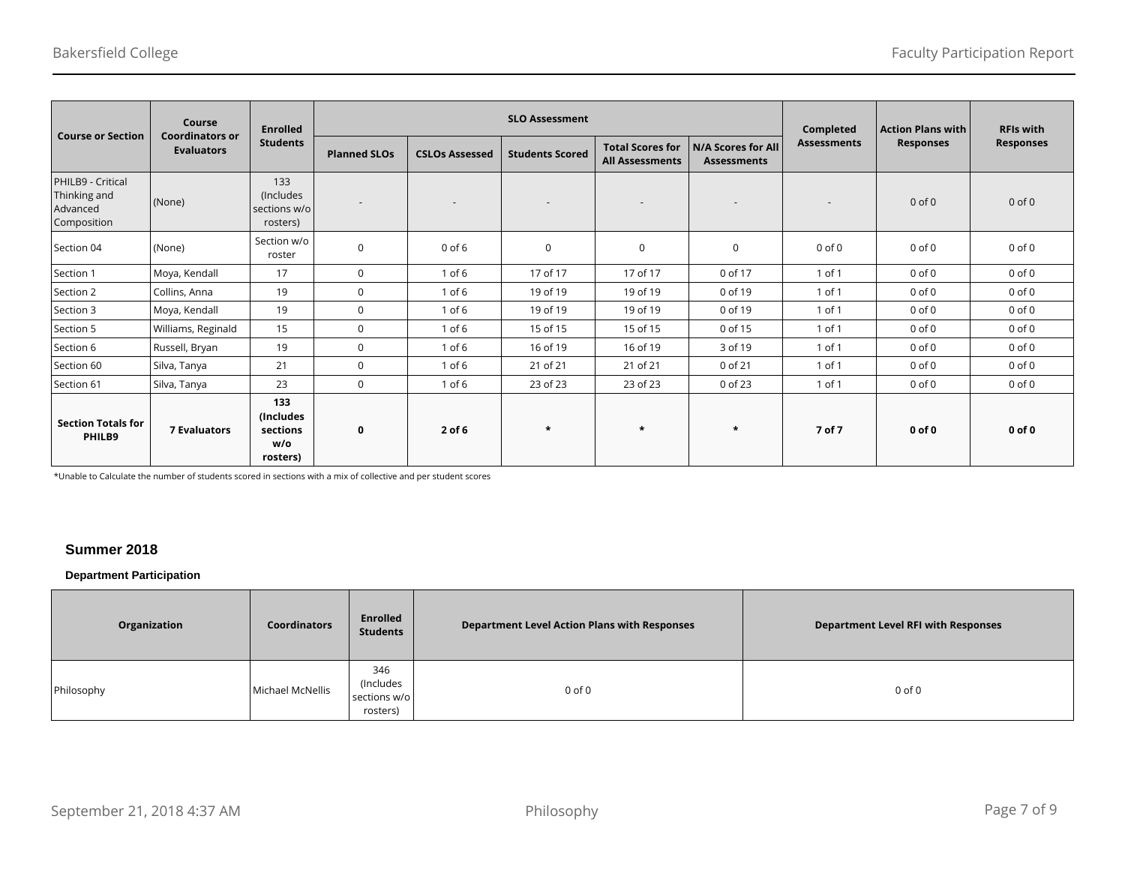| <b>Course or Section</b>                                     | Course<br><b>Coordinators or</b> | <b>Enrolled</b>                                  |                          |                          | <b>SLO Assessment</b>  |                                                   | Completed                                       | <b>Action Plans with</b> | <b>RFIs with</b> |                  |
|--------------------------------------------------------------|----------------------------------|--------------------------------------------------|--------------------------|--------------------------|------------------------|---------------------------------------------------|-------------------------------------------------|--------------------------|------------------|------------------|
|                                                              | <b>Evaluators</b>                | <b>Students</b>                                  | <b>Planned SLOs</b>      | <b>CSLOs Assessed</b>    | <b>Students Scored</b> | <b>Total Scores for</b><br><b>All Assessments</b> | <b>N/A Scores for All</b><br><b>Assessments</b> | <b>Assessments</b>       | <b>Responses</b> | <b>Responses</b> |
| PHILB9 - Critical<br>Thinking and<br>Advanced<br>Composition | (None)                           | 133<br>(Includes<br>sections w/o<br>rosters)     | $\overline{\phantom{a}}$ | $\overline{\phantom{a}}$ |                        |                                                   |                                                 | ٠                        | $0$ of $0$       | $0$ of $0$       |
| Section 04                                                   | (None)                           | Section w/o<br>roster                            | $\mathbf 0$              | $0$ of $6$               | $\mathbf 0$            | $\mathbf 0$                                       | $\mathbf 0$                                     | $0$ of $0$               | $0$ of $0$       | $0$ of $0$       |
| Section 1                                                    | Moya, Kendall                    | 17                                               | $\mathbf 0$              | $1$ of $6$               | 17 of 17               | 17 of 17                                          | 0 of 17                                         | 1 of 1                   | $0$ of $0$       | $0$ of $0$       |
| Section 2                                                    | Collins, Anna                    | 19                                               | $\mathbf 0$              | $1$ of $6$               | 19 of 19               | 19 of 19                                          | 0 of 19                                         | 1 of 1                   | $0$ of $0$       | $0$ of $0$       |
| Section 3                                                    | Moya, Kendall                    | 19                                               | $\mathbf 0$              | $1$ of $6$               | 19 of 19               | 19 of 19                                          | 0 of 19                                         | $1$ of $1$               | $0$ of $0$       | $0$ of $0$       |
| Section 5                                                    | Williams, Reginald               | 15                                               | $\mathbf 0$              | $1$ of $6$               | 15 of 15               | 15 of 15                                          | 0 of 15                                         | 1 of 1                   | $0$ of $0$       | $0$ of $0$       |
| Section 6                                                    | Russell, Bryan                   | 19                                               | $\mathbf 0$              | $1$ of $6$               | 16 of 19               | 16 of 19                                          | 3 of 19                                         | 1 of 1                   | $0$ of $0$       | $0$ of $0$       |
| Section 60                                                   | Silva, Tanya                     | 21                                               | $\mathbf 0$              | $1$ of $6$               | 21 of 21               | 21 of 21                                          | 0 of 21                                         | 1 of 1                   | $0$ of $0$       | $0$ of $0$       |
| Section 61                                                   | Silva, Tanya                     | 23                                               | $\mathbf 0$              | $1$ of $6$               | 23 of 23               | 23 of 23                                          | 0 of 23                                         | 1 of 1                   | $0$ of $0$       | $0$ of $0$       |
| <b>Section Totals for</b><br>PHILB9                          | <b>7 Evaluators</b>              | 133<br>(Includes)<br>sections<br>w/o<br>rosters) | $\mathbf 0$              | $2$ of 6                 | $\star$                | $\star$                                           | $\star$                                         | 7 of 7                   | $0$ of $0$       | $0$ of $0$       |

\*Unable to Calculate the number of students scored in sections with a mix of collective and per student scores

# **Summer 2018**

# **Department Participation**

| Organization | <b>Coordinators</b> | <b>Enrolled</b><br><b>Students</b>           | <b>Department Level Action Plans with Responses</b> | <b>Department Level RFI with Responses</b> |
|--------------|---------------------|----------------------------------------------|-----------------------------------------------------|--------------------------------------------|
| Philosophy   | Michael McNellis    | 346<br>(Includes<br>sections w/o<br>rosters) | $0$ of $0$                                          | $0$ of $0$                                 |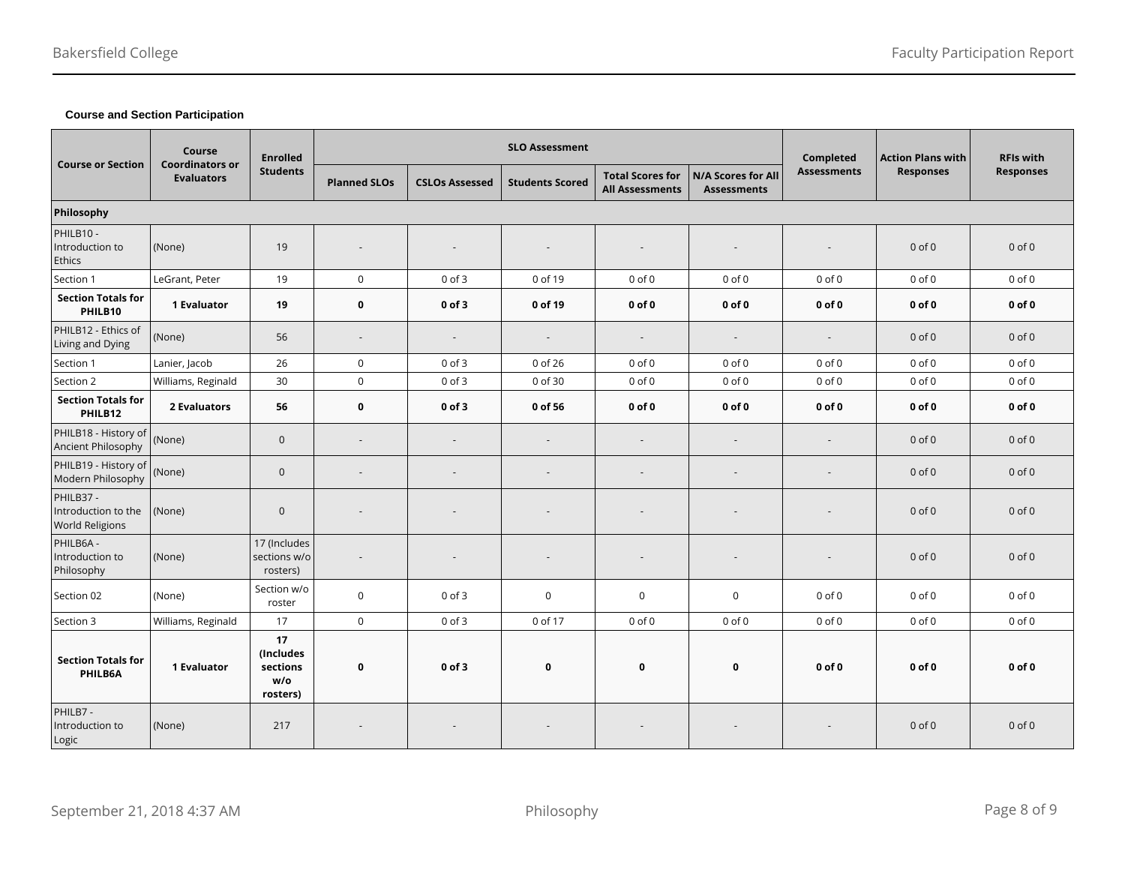# **Course and Section Participation**

| <b>Course or Section</b>                                   | Course<br><b>Enrolled</b><br><b>Coordinators or</b><br><b>Students</b> |                                                |                          | <b>SLO Assessment</b>    |                        |                                                   | Completed                                | <b>Action Plans with</b> | <b>RFIs with</b> |                  |
|------------------------------------------------------------|------------------------------------------------------------------------|------------------------------------------------|--------------------------|--------------------------|------------------------|---------------------------------------------------|------------------------------------------|--------------------------|------------------|------------------|
|                                                            | <b>Evaluators</b>                                                      |                                                | <b>Planned SLOs</b>      | <b>CSLOs Assessed</b>    | <b>Students Scored</b> | <b>Total Scores for</b><br><b>All Assessments</b> | N/A Scores for All<br><b>Assessments</b> | <b>Assessments</b>       | <b>Responses</b> | <b>Responses</b> |
| Philosophy                                                 |                                                                        |                                                |                          |                          |                        |                                                   |                                          |                          |                  |                  |
| PHILB10 -<br>Introduction to<br><b>Ethics</b>              | (None)                                                                 | 19                                             | $\overline{\phantom{a}}$ |                          |                        | $\overline{\phantom{a}}$                          |                                          |                          | $0$ of $0$       | $0$ of $0$       |
| Section 1                                                  | LeGrant, Peter                                                         | 19                                             | $\mathbf 0$              | $0$ of $3$               | 0 of 19                | $0$ of $0$                                        | $0$ of $0$                               | $0$ of $0$               | $0$ of $0$       | $0$ of $0$       |
| <b>Section Totals for</b><br>PHILB10                       | <b>1 Evaluator</b>                                                     | 19                                             | $\mathbf 0$              | $0$ of $3$               | 0 of 19                | $0$ of $0$                                        | $0$ of $0$                               | $0$ of $0$               | $0$ of $0$       | $0$ of $0$       |
| PHILB12 - Ethics of<br>Living and Dying                    | (None)                                                                 | 56                                             | $\overline{\phantom{a}}$ | $\overline{\phantom{a}}$ |                        | $\sim$                                            | $\sim$                                   | $\sim$                   | $0$ of $0$       | $0$ of $0$       |
| Section 1                                                  | Lanier, Jacob                                                          | 26                                             | $\mathsf 0$              | $0$ of $3$               | 0 of 26                | $0$ of $0$                                        | $0$ of $0$                               | $0$ of $0$               | $0$ of $0$       | $0$ of $0$       |
| Section 2                                                  | Williams, Reginald                                                     | 30                                             | $\mathsf 0$              | $0$ of $3$               | 0 of 30                | $0$ of $0$                                        | $0$ of $0$                               | $0$ of $0$               | $0$ of $0$       | $0$ of $0$       |
| <b>Section Totals for</b><br>PHILB12                       | 2 Evaluators                                                           | 56                                             | $\mathbf 0$              | $0$ of $3$               | 0 of 56                | $0$ of $0$                                        | $0$ of $0$                               | $0$ of $0$               | $0$ of $0$       | $0$ of $0$       |
| PHILB18 - History of<br>Ancient Philosophy                 | (None)                                                                 | $\mathbf 0$                                    | $\sim$                   | $\overline{\phantom{a}}$ |                        | $\overline{\phantom{a}}$                          | $\sim$                                   | $\overline{a}$           | $0$ of $0$       | $0$ of $0$       |
| PHILB19 - History of<br>Modern Philosophy                  | (None)                                                                 | $\mathbf 0$                                    | $\sim$                   |                          |                        | $\sim$                                            |                                          |                          | $0$ of $0$       | $0$ of $0$       |
| PHILB37 -<br>Introduction to the<br><b>World Religions</b> | (None)                                                                 | $\mathbf 0$                                    |                          |                          |                        |                                                   |                                          |                          | $0$ of $0$       | $0$ of $0$       |
| PHILB6A -<br>Introduction to<br>Philosophy                 | (None)                                                                 | 17 (Includes<br>sections w/o<br>rosters)       | $\overline{\phantom{a}}$ |                          |                        | $\overline{\phantom{a}}$                          |                                          |                          | $0$ of $0$       | $0$ of $0$       |
| Section 02                                                 | (None)                                                                 | Section w/o<br>roster                          | $\mathbf 0$              | $0$ of $3$               | $\mathbf 0$            | $\mathsf 0$                                       | 0                                        | $0$ of $0$               | $0$ of $0$       | $0$ of $0$       |
| Section 3                                                  | Williams, Reginald                                                     | 17                                             | $\mathbf 0$              | $0$ of $3$               | 0 of 17                | $0$ of $0$                                        | $0$ of $0$                               | $0$ of $0$               | $0$ of $0$       | $0$ of $0$       |
| <b>Section Totals for</b><br>PHILB6A                       | 1 Evaluator                                                            | 17<br>(Includes<br>sections<br>W/O<br>rosters) | $\mathbf 0$              | $0$ of $3$               | 0                      | $\mathbf 0$                                       | 0                                        | $0$ of $0$               | $0$ of $0$       | $0$ of $0$       |
| PHILB7-<br>Introduction to<br>Logic                        | (None)                                                                 | 217                                            |                          |                          |                        |                                                   |                                          |                          | $0$ of $0$       | $0$ of $0$       |